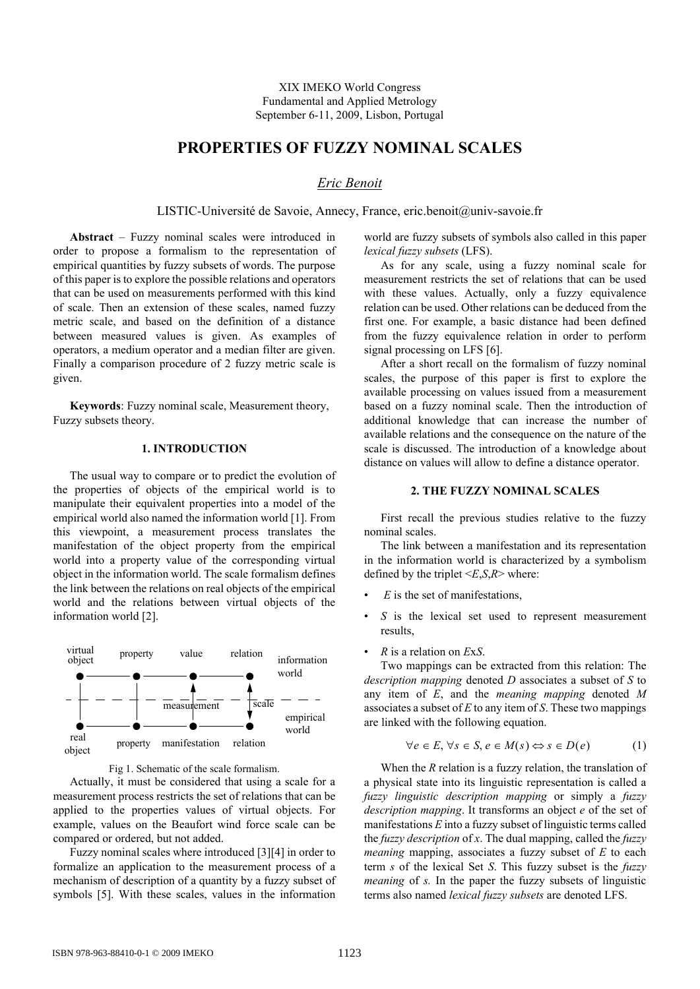XIX IMEKO World Congress Fundamental and Applied Metrology September 6-11, 2009, Lisbon, Portugal

# **PROPERTIES OF FUZZY NOMINAL SCALES**

# *Eric Benoit*

LISTIC-Université de Savoie, Annecy, France, eric.benoit@univ-savoie.fr

**Abstract** – Fuzzy nominal scales were introduced in order to propose a formalism to the representation of empirical quantities by fuzzy subsets of words. The purpose of this paper is to explore the possible relations and operators that can be used on measurements performed with this kind of scale. Then an extension of these scales, named fuzzy metric scale, and based on the definition of a distance between measured values is given. As examples of operators, a medium operator and a median filter are given. Finally a comparison procedure of 2 fuzzy metric scale is given.

**Keywords**: Fuzzy nominal scale, Measurement theory, Fuzzy subsets theory.

# **1. INTRODUCTION**

The usual way to compare or to predict the evolution of the properties of objects of the empirical world is to manipulate their equivalent properties into a model of the empirical world also named the information world [1]. From this viewpoint, a measurement process translates the manifestation of the object property from the empirical world into a property value of the corresponding virtual object in the information world. The scale formalism defines the link between the relations on real objects of the empirical world and the relations between virtual objects of the information world [2].



Fig 1. Schematic of the scale formalism.

Actually, it must be considered that using a scale for a measurement process restricts the set of relations that can be applied to the properties values of virtual objects. For example, values on the Beaufort wind force scale can be compared or ordered, but not added.

Fuzzy nominal scales where introduced [\[3\]](#page-4-0)[4] in order to formalize an application to the measurement process of a mechanism of description of a quantity by a fuzzy subset of symbols [5]. With these scales, values in the information

world are fuzzy subsets of symbols also called in this paper *lexical fuzzy subsets* (LFS).

As for any scale, using a fuzzy nominal scale for measurement restricts the set of relations that can be used with these values. Actually, only a fuzzy equivalence relation can be used. Other relations can be deduced from the first one. For example, a basic distance had been defined from the fuzzy equivalence relation in order to perform signal processing on LFS [\[6\]](#page-4-1).

After a short recall on the formalism of fuzzy nominal scales, the purpose of this paper is first to explore the available processing on values issued from a measurement based on a fuzzy nominal scale. Then the introduction of additional knowledge that can increase the number of available relations and the consequence on the nature of the scale is discussed. The introduction of a knowledge about distance on values will allow to define a distance operator.

### **2. THE FUZZY NOMINAL SCALES**

First recall the previous studies relative to the fuzzy nominal scales.

The link between a manifestation and its representation in the information world is characterized by a symbolism defined by the triplet  $\leq E.S.R$  where:

- $E$  is the set of manifestations,
- *S* is the lexical set used to represent measurement results,
- *R* is a relation on *E*x*S*.

Two mappings can be extracted from this relation: The *description mapping* denoted *D* associates a subset of *S* to any item of *E*, and the *meaning mapping* denoted *M* associates a subset of *E* to any item of *S*. These two mappings are linked with the following equation.

$$
\forall e \in E, \forall s \in S, e \in M(s) \Leftrightarrow s \in D(e) \tag{1}
$$

<span id="page-0-0"></span>When the *R* relation is a fuzzy relation, the translation of a physical state into its linguistic representation is called a *fuzzy linguistic description mapping* or simply a *fuzzy description mapping*. It transforms an object *e* of the set of manifestations *E* into a fuzzy subset of linguistic terms called the *fuzzy description* of *x*. The dual mapping, called the *fuzzy meaning* mapping, associates a fuzzy subset of *E* to each term *s* of the lexical Set *S*. This fuzzy subset is the *fuzzy meaning* of *s.* In the paper the fuzzy subsets of linguistic terms also named *lexical fuzzy subsets* are denoted LFS.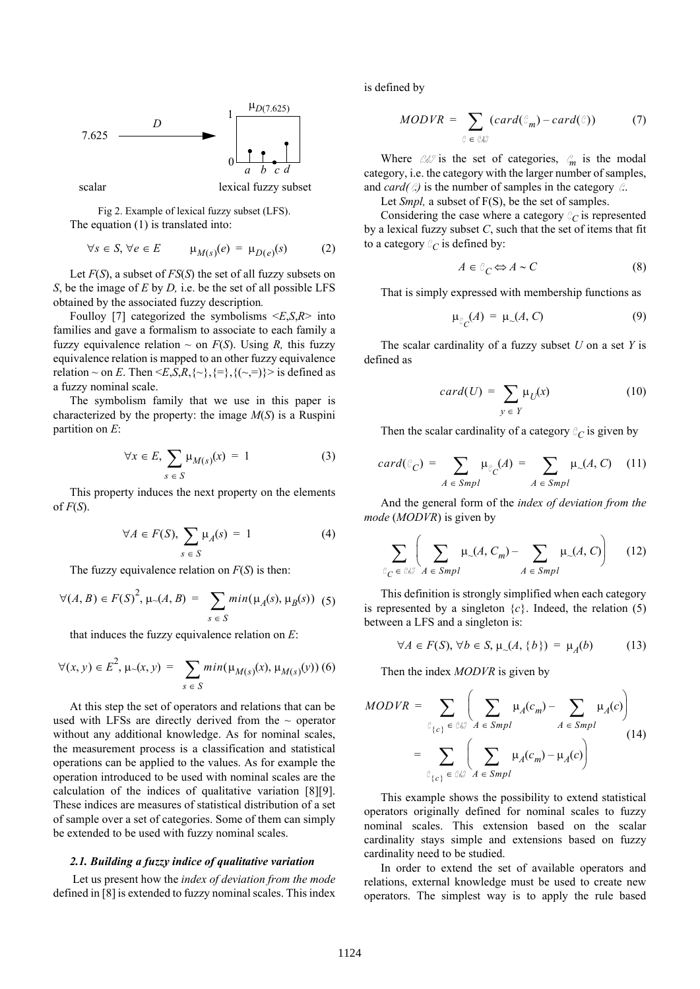

Fig 2. Example of lexical fuzzy subset (LFS). The equation [\(1\)](#page-0-0) is translated into:

$$
\forall s \in S, \forall e \in E \qquad \mu_{M(s)}(e) = \mu_{D(e)}(s) \tag{2}
$$

Let *F*(*S*), a subset of *FS*(*S*) the set of all fuzzy subsets on *S*, be the image of *E* by *D,* i.e. be the set of all possible LFS obtained by the associated fuzzy description*.* 

Foulloy [\[7\]](#page-4-2) categorized the symbolisms <*E*,*S*,*R*> into families and gave a formalism to associate to each family a fuzzy equivalence relation  $\sim$  on  $F(S)$ . Using *R*, this fuzzy equivalence relation is mapped to an other fuzzy equivalence relation  $\sim$  on *E*. Then  $\leq E, S, R, \{ \sim \}$ ,  $\{ = \}$ ,  $\{ (\sim, =) \}$  is defined as a fuzzy nominal scale.

The symbolism family that we use in this paper is characterized by the property: the image *M*(*S*) is a Ruspini partition on *E*:

$$
\forall x \in E, \sum_{s \in S} \mu_{M(s)}(x) = 1 \tag{3}
$$

<span id="page-1-1"></span>This property induces the next property on the elements of  $F(S)$ .

$$
\forall A \in F(S), \sum_{s \in S} \mu_A(s) = 1 \tag{4}
$$

<span id="page-1-0"></span>The fuzzy equivalence relation on  $F(S)$  is then:

$$
\forall (A, B) \in F(S)^2, \mu \sim(A, B) = \sum_{s \in S} min(\mu_A(s), \mu_B(s))
$$
 (5)

that induces the fuzzy equivalence relation on *E*:

$$
\forall (x, y) \in E^{2}, \mu_{\sim}(x, y) = \sum_{s \in S} min(\mu_{M(s)}(x), \mu_{M(s)}(y)) (6)
$$

At this step the set of operators and relations that can be used with LFSs are directly derived from the  $\sim$  operator without any additional knowledge. As for nominal scales, the measurement process is a classification and statistical operations can be applied to the values. As for example the operation introduced to be used with nominal scales are the calculation of the indices of qualitative variation [8][9]. These indices are measures of statistical distribution of a set of sample over a set of categories. Some of them can simply be extended to be used with fuzzy nominal scales.

## *2.1. Building a fuzzy indice of qualitative variation*

 Let us present how the *index of deviation from the mode* defined in [8] is extended to fuzzy nominal scales. This index is defined by

$$
MODVR = \sum_{\mathcal{C} \in \mathcal{C} \downarrow \mathcal{I}} (card(\mathcal{C}_m) - card(\mathcal{C})) \tag{7}
$$

Where  $\mathcal{A}$  is the set of categories,  $\mathcal{C}_m$  is the modal category, i.e. the category with the larger number of samples, and *card(* $\mathcal{C}$ *)* is the number of samples in the category  $\mathcal{C}$ .

Let *Smpl*, a subset of F(S), be the set of samples.

Considering the case where a category  $\mathcal{C}_C$  is represented by a lexical fuzzy subset *C*, such that the set of items that fit to a category  $\mathcal{C}_{\mathcal{C}}$  is defined by:

$$
A \in \mathcal{C}_C \Longleftrightarrow A \sim C \tag{8}
$$

That is simply expressed with membership functions as

$$
\mu_{\mathcal{C}_C}(A) = \mu_{\sim}(A, C) \tag{9}
$$

The scalar cardinality of a fuzzy subset *U* on a set *Y* is defined as

$$
card(U) = \sum_{y \in Y} \mu_U(x) \tag{10}
$$

Then the scalar cardinality of a category  $\mathcal{C}_C$  is given by

$$
card(\mathcal{C}_C) = \sum_{A \in Smpl} \mu_{\mathcal{C}_C}(A) = \sum_{A \in Smpl} \mu_{\sim}(A, C) \quad (11)
$$

And the general form of the *index of deviation from the mode* (*MODVR*) is given by

$$
\sum_{\mathcal{C}_C \in \mathcal{C}} \left( \sum_{A \in Smpl} \mu_{\sim}(A, C_m) - \sum_{A \in Smpl} \mu_{\sim}(A, C) \right) \tag{12}
$$

This definition is strongly simplified when each category is represented by a singleton  $\{c\}$ . Indeed, the relation [\(5\)](#page-1-0) between a LFS and a singleton is:

$$
\forall A \in F(S), \forall b \in S, \mu_{\sim}(A, \{b\}) = \mu_A(b) \tag{13}
$$

Then the index *MODVR* is given by

$$
MODVR = \sum_{\mathcal{C}_{\{c\}} \in \mathcal{CH}^{\mathcal{T}}} \left( \sum_{A \in Smpl} \mu_A(c_m) - \sum_{A \in Smpl} \mu_A(c) \right)
$$
  
= 
$$
\sum_{\mathcal{C}_{\{c\}} \in \mathcal{CH}^{\mathcal{T}}} \left( \sum_{A \in Smpl} \mu_A(c_m) - \mu_A(c) \right)
$$
(14)

This example shows the possibility to extend statistical operators originally defined for nominal scales to fuzzy nominal scales. This extension based on the scalar cardinality stays simple and extensions based on fuzzy cardinality need to be studied.

In order to extend the set of available operators and relations, external knowledge must be used to create new operators. The simplest way is to apply the rule based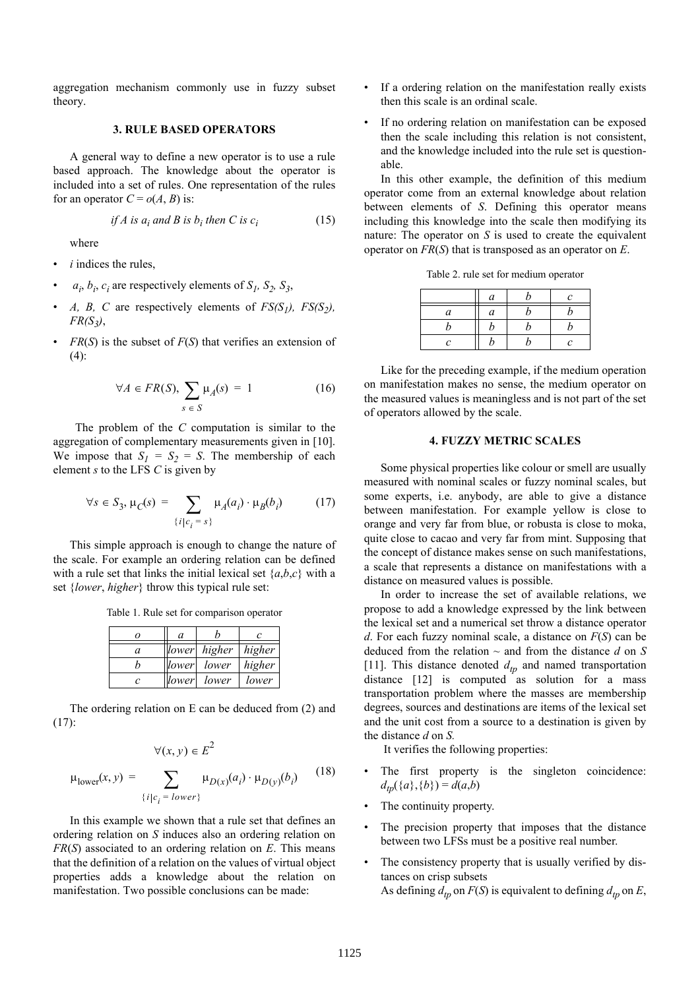aggregation mechanism commonly use in fuzzy subset theory.

## **3. RULE BASED OPERATORS**

A general way to define a new operator is to use a rule based approach. The knowledge about the operator is included into a set of rules. One representation of the rules for an operator  $C = o(A, B)$  is:

if A is 
$$
a_i
$$
 and B is  $b_i$  then C is  $c_i$  (15)

where

- $i$  indices the rules,
- *a<sub>i</sub>*,  $b_i$ ,  $c_i$  are respectively elements of  $S_1$ ,  $S_2$ ,  $S_3$ ,
- *A, B, C* are respectively elements of  $FS(S_1)$ ,  $FS(S_2)$ ,  $FR(S_3)$ ,
- $FR(S)$  is the subset of  $F(S)$  that verifies an extension of  $(4)$ :

$$
\forall A \in FR(S), \sum_{s \in S} \mu_A(s) = 1 \tag{16}
$$

<span id="page-2-0"></span> The problem of the *C* computation is similar to the aggregation of complementary measurements given in [\[10\].](#page-4-3) We impose that  $S_1 = S_2 = S$ . The membership of each element *s* to the LFS *C* is given by

$$
\forall s \in S_3, \mu_C(s) = \sum_{\{i \mid c_i = s\}} \mu_A(a_i) \cdot \mu_B(b_i)
$$
 (17)

This simple approach is enough to change the nature of the scale. For example an ordering relation can be defined with a rule set that links the initial lexical set  ${a,b,c}$  with a set {*lower*, *higher*} throw this typical rule set:

Table 1. Rule set for comparison operator

| Ω | a     |              |        |
|---|-------|--------------|--------|
| a |       | lower higher | higher |
| n | lower | lower        | higher |
|   | lower | lower        | lower  |

The ordering relation on E can be deduced from (2) and [\(17\):](#page-2-0)

$$
\forall (x, y) \in E^2
$$

$$
\mu_{\text{lower}}(x, y) = \sum_{\{i \mid c_i = lower\}} \mu_{D(x)}(a_i) \cdot \mu_{D(y)}(b_i) \tag{18}
$$

In this example we shown that a rule set that defines an ordering relation on *S* induces also an ordering relation on *FR*(*S*) associated to an ordering relation on *E*. This means that the definition of a relation on the values of virtual object properties adds a knowledge about the relation on manifestation. Two possible conclusions can be made:

- If a ordering relation on the manifestation really exists then this scale is an ordinal scale.
- If no ordering relation on manifestation can be exposed then the scale including this relation is not consistent, and the knowledge included into the rule set is questionable.

In this other example, the definition of this medium operator come from an external knowledge about relation between elements of *S*. Defining this operator means including this knowledge into the scale then modifying its nature: The operator on *S* is used to create the equivalent operator on *FR*(*S*) that is transposed as an operator on *E*.

Table 2. rule set for medium operator

|    | a | Γ, |
|----|---|----|
| a  | а |    |
| ,, |   |    |
| C  |   | r  |

Like for the preceding example, if the medium operation on manifestation makes no sense, the medium operator on the measured values is meaningless and is not part of the set of operators allowed by the scale.

#### **4. FUZZY METRIC SCALES**

Some physical properties like colour or smell are usually measured with nominal scales or fuzzy nominal scales, but some experts, i.e. anybody, are able to give a distance between manifestation. For example yellow is close to orange and very far from blue, or robusta is close to moka, quite close to cacao and very far from mint. Supposing that the concept of distance makes sense on such manifestations, a scale that represents a distance on manifestations with a distance on measured values is possible.

In order to increase the set of available relations, we propose to add a knowledge expressed by the link between the lexical set and a numerical set throw a distance operator *d*. For each fuzzy nominal scale, a distance on *F*(*S*) can be deduced from the relation  $\sim$  and from the distance  $d$  on  $S$ [\[11\]](#page-4-4). This distance denoted  $d_{tp}$  and named transportation distance  $[12]$  is computed as solution for a mass transportation problem where the masses are membership degrees, sources and destinations are items of the lexical set and the unit cost from a source to a destination is given by the distance *d* on *S.*

It verifies the following properties:

- The first property is the singleton coincidence:  $d_{tp}(\{a\},\{b\}) = d(a,b)$
- The continuity property.
- The precision property that imposes that the distance between two LFSs must be a positive real number.
- The consistency property that is usually verified by distances on crisp subsets As defining  $d_{tp}$  on  $F(S)$  is equivalent to defining  $d_{tp}$  on  $E$ ,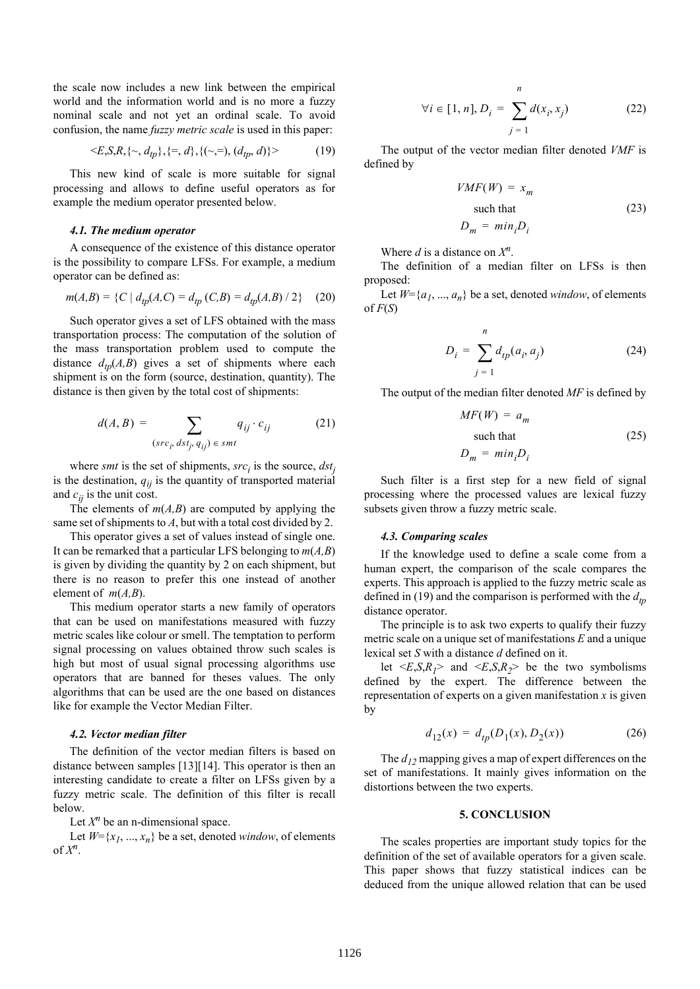the scale now includes a new link between the empirical world and the information world and is no more a fuzzy nominal scale and not yet an ordinal scale. To avoid confusion, the name *fuzzy metric scale* is used in this paper:

$$
\langle E, S, R, \{ \sim, d_{tp} \}, \{ =, d \}, \{ (\sim, =), (d_{tp}, d) \} \rangle \tag{19}
$$

<span id="page-3-0"></span>This new kind of scale is more suitable for signal processing and allows to define useful operators as for example the medium operator presented below.

## *4.1. The medium operator*

A consequence of the existence of this distance operator is the possibility to compare LFSs. For example, a medium operator can be defined as:

$$
m(A,B) = \{ C \mid d_{tp}(A,C) = d_{tp}(C,B) = d_{tp}(A,B) / 2 \} \tag{20}
$$

Such operator gives a set of LFS obtained with the mass transportation process: The computation of the solution of the mass transportation problem used to compute the distance  $d_{tp}(A, B)$  gives a set of shipments where each shipment is on the form (source, destination, quantity). The distance is then given by the total cost of shipments:

$$
d(A, B) = \sum_{(src_i, dst_j, q_{ij}) \in smt} q_{ij} \cdot c_{ij}
$$
 (21)

where *smt* is the set of shipments, *src<sub>i</sub>* is the source,  $dst_j$ is the destination,  $q_{ij}$  is the quantity of transported material and *cij* is the unit cost.

The elements of  $m(A,B)$  are computed by applying the same set of shipments to *A*, but with a total cost divided by 2.

This operator gives a set of values instead of single one. It can be remarked that a particular LFS belonging to *m*(*A,B*) is given by dividing the quantity by 2 on each shipment, but there is no reason to prefer this one instead of another element of *m*(*A,B*).

This medium operator starts a new family of operators that can be used on manifestations measured with fuzzy metric scales like colour or smell. The temptation to perform signal processing on values obtained throw such scales is high but most of usual signal processing algorithms use operators that are banned for theses values. The only algorithms that can be used are the one based on distances like for example the Vector Median Filter.

#### *4.2. Vector median filter*

The definition of the vector median filters is based on distance between samples [13][14]. This operator is then an interesting candidate to create a filter on LFSs given by a fuzzy metric scale. The definition of this filter is recall below.

Let  $X^n$  be an n-dimensional space.

Let  $W = \{x_1, ..., x_n\}$  be a set, denoted *window*, of elements of  $X^n$ .

$$
\forall i \in [1, n], D_i = \sum_{j=1}^{n} d(x_i, x_j)
$$
 (22)

The output of the vector median filter denoted *VMF* is defined by

$$
VMF(W) = x_m
$$
  
such that  

$$
D_m = min_i D_i
$$
 (23)

Where  $d$  is a distance on  $X^n$ .

The definition of a median filter on LFSs is then proposed:

Let  $W = \{a_1, ..., a_n\}$  be a set, denoted *window*, of elements of  $F(S)$ 

$$
D_i = \sum_{j=1}^{n} d_{tp}(a_i, a_j)
$$
 (24)

The output of the median filter denoted *MF* is defined by

$$
MF(W) = a_m
$$
  
such that  

$$
D_m = min_i D_i
$$
 (25)

Such filter is a first step for a new field of signal processing where the processed values are lexical fuzzy subsets given throw a fuzzy metric scale.

## *4.3. Comparing scales*

If the knowledge used to define a scale come from a human expert, the comparison of the scale compares the experts. This approach is applied to the fuzzy metric scale as defined in [\(19\)](#page-3-0) and the comparison is performed with the  $d_{tn}$ distance operator.

The principle is to ask two experts to qualify their fuzzy metric scale on a unique set of manifestations *E* and a unique lexical set *S* with a distance *d* defined on it.

let  $\leq E, S, R_1$  and  $\leq E, S, R_2$  be the two symbolisms defined by the expert. The difference between the representation of experts on a given manifestation *x* is given by

$$
d_{12}(x) = d_{tp}(D_1(x), D_2(x))
$$
 (26)

The  $d_{12}$  mapping gives a map of expert differences on the set of manifestations. It mainly gives information on the distortions between the two experts.

# **5. CONCLUSION**

The scales properties are important study topics for the definition of the set of available operators for a given scale. This paper shows that fuzzy statistical indices can be deduced from the unique allowed relation that can be used